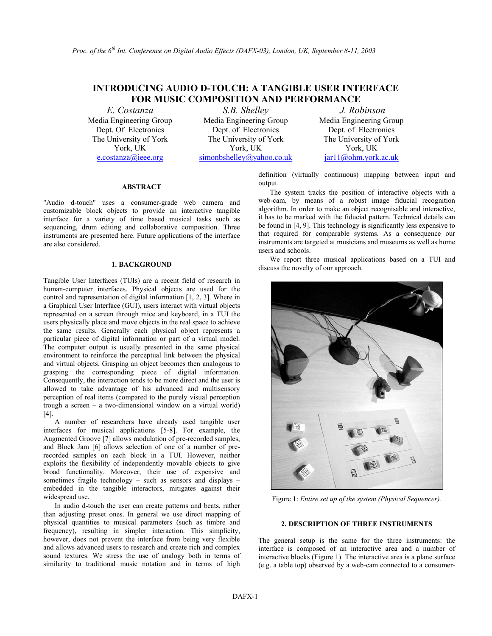# **INTRODUCING AUDIO D-TOUCH: A TANGIBLE USER INTERFACE FOR MUSIC COMPOSITION AND PERFORMANCE**

Media Engineering Group Dept. Of Electronics The University of York York, UK

*E. Costanza S.B. Shelley J. Robinson*  Media Engineering Group Dept. of Electronics The University of York York, UK e.costanza@ieee.org [simonbshelley@yahoo.co.uk](mailto:simonbshelley@yahoo.co.uk) [jar11@ohm.york.ac.uk](mailto:jar11@ohm.york.ac.uk)

Media Engineering Group Dept. of Electronics The University of York York, UK

## **ABSTRACT**

"Audio d-touch" uses a consumer-grade web camera and customizable block objects to provide an interactive tangible interface for a variety of time based musical tasks such as sequencing, drum editing and collaborative composition. Three instruments are presented here. Future applications of the interface are also considered.

# **1. BACKGROUND**

Tangible User Interfaces (TUIs) are a recent field of research in human-computer interfaces. Physical objects are used for the control and representation of digital information [1, 2, 3]. Where in a Graphical User Interface (GUI), users interact with virtual objects represented on a screen through mice and keyboard, in a TUI the users physically place and move objects in the real space to achieve the same results. Generally each physical object represents a particular piece of digital information or part of a virtual model. The computer output is usually presented in the same physical environment to reinforce the perceptual link between the physical and virtual objects. Grasping an object becomes then analogous to grasping the corresponding piece of digital information. Consequently, the interaction tends to be more direct and the user is allowed to take advantage of his advanced and multisensory perception of real items (compared to the purely visual perception trough a screen – a two-dimensional window on a virtual world) [4].

A number of researchers have already used tangible user interfaces for musical applications [5-8]. For example, the Augmented Groove [7] allows modulation of pre-recorded samples, and Block Jam [6] allows selection of one of a number of prerecorded samples on each block in a TUI. However, neither exploits the flexibility of independently movable objects to give broad functionality. Moreover, their use of expensive and sometimes fragile technology – such as sensors and displays – embedded in the tangible interactors, mitigates against their widespread use.

In audio d-touch the user can create patterns and beats, rather than adjusting preset ones. In general we use direct mapping of physical quantities to musical parameters (such as timbre and frequency), resulting in simpler interaction. This simplicity, however, does not prevent the interface from being very flexible and allows advanced users to research and create rich and complex sound textures. We stress the use of analogy both in terms of similarity to traditional music notation and in terms of high definition (virtually continuous) mapping between input and output.

The system tracks the position of interactive objects with a web-cam, by means of a robust image fiducial recognition algorithm. In order to make an object recognisable and interactive, it has to be marked with the fiducial pattern. Technical details can be found in [4, 9]. This technology is significantly less expensive to that required for comparable systems. As a consequence our instruments are targeted at musicians and museums as well as home users and schools.

We report three musical applications based on a TUI and discuss the novelty of our approach.



Figure 1: *Entire set up of the system (Physical Sequencer).*

# **2. DESCRIPTION OF THREE INSTRUMENTS**

The general setup is the same for the three instruments: the interface is composed of an interactive area and a number of interactive blocks (Figure 1). The interactive area is a plane surface (e.g. a table top) observed by a web-cam connected to a consumer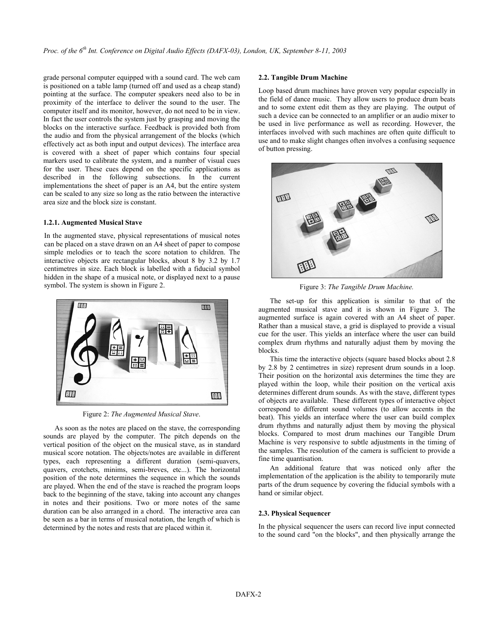grade personal computer equipped with a sound card. The web cam is positioned on a table lamp (turned off and used as a cheap stand) pointing at the surface. The computer speakers need also to be in proximity of the interface to deliver the sound to the user. The computer itself and its monitor, however, do not need to be in view. In fact the user controls the system just by grasping and moving the blocks on the interactive surface. Feedback is provided both from the audio and from the physical arrangement of the blocks (which effectively act as both input and output devices). The interface area is covered with a sheet of paper which contains four special markers used to calibrate the system, and a number of visual cues for the user. These cues depend on the specific applications as described in the following subsections. In the current implementations the sheet of paper is an A4, but the entire system can be scaled to any size so long as the ratio between the interactive area size and the block size is constant.

# **1.2.1. Augmented Musical Stave**

In the augmented stave, physical representations of musical notes can be placed on a stave drawn on an A4 sheet of paper to compose simple melodies or to teach the score notation to children. The interactive objects are rectangular blocks, about 8 by 3.2 by 1.7 centimetres in size. Each block is labelled with a fiducial symbol hidden in the shape of a musical note, or displayed next to a pause symbol. The system is shown in Figure 2. **Figure 3:** *The Tangible Drum Machine.* 



Figure 2: *The Augmented Musical Stave*.

As soon as the notes are placed on the stave, the corresponding sounds are played by the computer. The pitch depends on the vertical position of the object on the musical stave, as in standard musical score notation. The objects/notes are available in different types, each representing a different duration (semi-quavers, quavers, crotchets, minims, semi-breves, etc...). The horizontal position of the note determines the sequence in which the sounds are played. When the end of the stave is reached the program loops back to the beginning of the stave, taking into account any changes in notes and their positions. Two or more notes of the same duration can be also arranged in a chord. The interactive area can be seen as a bar in terms of musical notation, the length of which is determined by the notes and rests that are placed within it.

#### **2.2. Tangible Drum Machine**

Loop based drum machines have proven very popular especially in the field of dance music. They allow users to produce drum beats and to some extent edit them as they are playing. The output of such a device can be connected to an amplifier or an audio mixer to be used in live performance as well as recording. However, the interfaces involved with such machines are often quite difficult to use and to make slight changes often involves a confusing sequence of button pressing.



The set-up for this application is similar to that of the augmented musical stave and it is shown in Figure 3. The augmented surface is again covered with an A4 sheet of paper. Rather than a musical stave, a grid is displayed to provide a visual cue for the user. This yields an interface where the user can build complex drum rhythms and naturally adjust them by moving the blocks.

This time the interactive objects (square based blocks about 2.8 by 2.8 by 2 centimetres in size) represent drum sounds in a loop. Their position on the horizontal axis determines the time they are played within the loop, while their position on the vertical axis determines different drum sounds. As with the stave, different types of objects are available. These different types of interactive object correspond to different sound volumes (to allow accents in the beat). This yields an interface where the user can build complex drum rhythms and naturally adjust them by moving the physical blocks. Compared to most drum machines our Tangible Drum Machine is very responsive to subtle adjustments in the timing of the samples. The resolution of the camera is sufficient to provide a fine time quantisation.

An additional feature that was noticed only after the implementation of the application is the ability to temporarily mute parts of the drum sequence by covering the fiducial symbols with a hand or similar object.

# **2.3. Physical Sequencer**

In the physical sequencer the users can record live input connected to the sound card "on the blocks", and then physically arrange the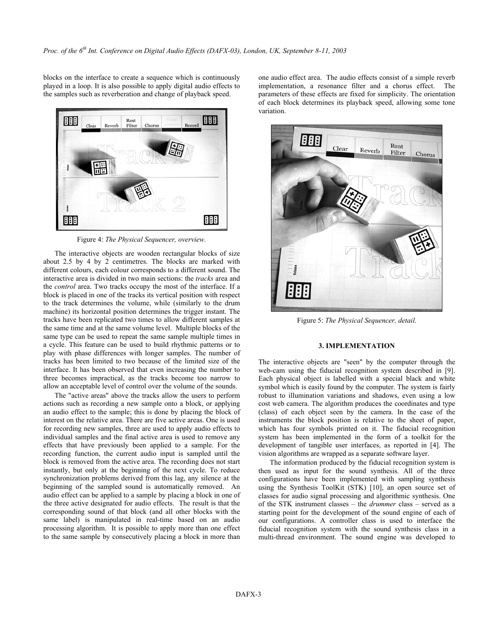blocks on the interface to create a sequence which is continuously played in a loop. It is also possible to apply digital audio effects to the samples such as reverberation and change of playback speed.



Figure 4: *The Physical Sequencer, overview.*

The interactive objects are wooden rectangular blocks of size about 2.5 by 4 by 2 centimetres. The blocks are marked with different colours, each colour corresponds to a different sound. The interactive area is divided in two main sections: the *tracks* area and the *control* area. Two tracks occupy the most of the interface. If a block is placed in one of the tracks its vertical position with respect to the track determines the volume, while (similarly to the drum machine) its horizontal position determines the trigger instant. The tracks have been replicated two times to allow different samples at the same time and at the same volume level. Multiple blocks of the same type can be used to repeat the same sample multiple times in a cycle. This feature can be used to build rhythmic patterns or to play with phase differences with longer samples. The number of tracks has been limited to two because of the limited size of the interface. It has been observed that even increasing the number to three becomes impractical, as the tracks become too narrow to allow an acceptable level of control over the volume of the sounds.

The "active areas" above the tracks allow the users to perform actions such as recording a new sample onto a block, or applying an audio effect to the sample; this is done by placing the block of interest on the relative area. There are five active areas. One is used for recording new samples, three are used to apply audio effects to individual samples and the final active area is used to remove any effects that have previously been applied to a sample. For the recording function, the current audio input is sampled until the block is removed from the active area. The recording does not start instantly, but only at the beginning of the next cycle. To reduce synchronization problems derived from this lag, any silence at the beginning of the sampled sound is automatically removed. An audio effect can be applied to a sample by placing a block in one of the three active designated for audio effects. The result is that the corresponding sound of that block (and all other blocks with the same label) is manipulated in real-time based on an audio processing algorithm. It is possible to apply more than one effect to the same sample by consecutively placing a block in more than one audio effect area. The audio effects consist of a simple reverb implementation, a resonance filter and a chorus effect. The parameters of these effects are fixed for simplicity. The orientation of each block determines its playback speed, allowing some tone variation.



Figure 5: *The Physical Sequencer, detail*.

#### **3. IMPLEMENTATION**

The interactive objects are "seen" by the computer through the web-cam using the fiducial recognition system described in [9]. Each physical object is labelled with a special black and white symbol which is easily found by the computer. The system is fairly robust to illumination variations and shadows, even using a low cost web camera. The algorithm produces the coordinates and type (class) of each object seen by the camera. In the case of the instruments the block position is relative to the sheet of paper, which has four symbols printed on it. The fiducial recognition system has been implemented in the form of a toolkit for the development of tangible user interfaces, as reported in [4]. The vision algorithms are wrapped as a separate software layer.

The information produced by the fiducial recognition system is then used as input for the sound synthesis. All of the three configurations have been implemented with sampling synthesis using the Synthesis ToolKit (STK) [10], an open source set of classes for audio signal processing and algorithmic synthesis. One of the STK instrument classes – the *drummer* class – served as a starting point for the development of the sound engine of each of our configurations. A controller class is used to interface the fiducial recognition system with the sound synthesis class in a multi-thread environment. The sound engine was developed to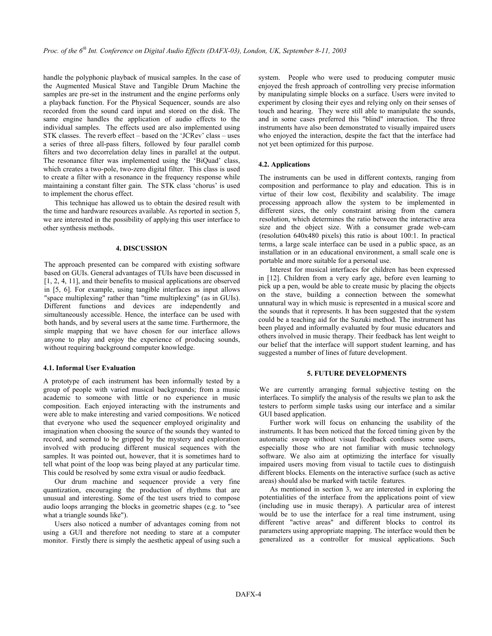handle the polyphonic playback of musical samples. In the case of the Augmented Musical Stave and Tangible Drum Machine the samples are pre-set in the instrument and the engine performs only a playback function. For the Physical Sequencer, sounds are also recorded from the sound card input and stored on the disk. The same engine handles the application of audio effects to the individual samples. The effects used are also implemented using STK classes. The reverb effect – based on the 'JCRev' class – uses a series of three all-pass filters, followed by four parallel comb filters and two decorrelation delay lines in parallel at the output. The resonance filter was implemented using the 'BiQuad' class, which creates a two-pole, two-zero digital filter. This class is used to create a filter with a resonance in the frequency response while maintaining a constant filter gain. The STK class 'chorus' is used to implement the chorus effect.

This technique has allowed us to obtain the desired result with the time and hardware resources available. As reported in section 5, we are interested in the possibility of applying this user interface to other synthesis methods.

#### **4. DISCUSSION**

The approach presented can be compared with existing software based on GUIs. General advantages of TUIs have been discussed in [1, 2, 4, 11], and their benefits to musical applications are observed in [5, 6]. For example, using tangible interfaces as input allows "space multiplexing" rather than "time multiplexing" (as in GUIs). Different functions and devices are independently and simultaneously accessible. Hence, the interface can be used with both hands, and by several users at the same time. Furthermore, the simple mapping that we have chosen for our interface allows anyone to play and enjoy the experience of producing sounds, without requiring background computer knowledge.

#### **4.1. Informal User Evaluation**

A prototype of each instrument has been informally tested by a group of people with varied musical backgrounds; from a music academic to someone with little or no experience in music composition. Each enjoyed interacting with the instruments and were able to make interesting and varied compositions. We noticed that everyone who used the sequencer employed originality and imagination when choosing the source of the sounds they wanted to record, and seemed to be gripped by the mystery and exploration involved with producing different musical sequences with the samples. It was pointed out, however, that it is sometimes hard to tell what point of the loop was being played at any particular time. This could be resolved by some extra visual or audio feedback.

Our drum machine and sequencer provide a very fine quantization, encouraging the production of rhythms that are unusual and interesting. Some of the test users tried to compose audio loops arranging the blocks in geometric shapes (e.g. to "see what a triangle sounds like").

Users also noticed a number of advantages coming from not using a GUI and therefore not needing to stare at a computer monitor. Firstly there is simply the aesthetic appeal of using such a system. People who were used to producing computer music enjoyed the fresh approach of controlling very precise information by manipulating simple blocks on a surface. Users were invited to experiment by closing their eyes and relying only on their senses of touch and hearing. They were still able to manipulate the sounds, and in some cases preferred this "blind" interaction. The three instruments have also been demonstrated to visually impaired users who enjoyed the interaction, despite the fact that the interface had not yet been optimized for this purpose.

#### **4.2. Applications**

The instruments can be used in different contexts, ranging from composition and performance to play and education. This is in virtue of their low cost, flexibility and scalability. The image processing approach allow the system to be implemented in different sizes, the only constraint arising from the camera resolution, which determines the ratio between the interactive area size and the object size. With a consumer grade web-cam (resolution 640x480 pixels) this ratio is about 100:1. In practical terms, a large scale interface can be used in a public space, as an installation or in an educational environment, a small scale one is portable and more suitable for a personal use.

Interest for musical interfaces for children has been expressed in [12]. Children from a very early age, before even learning to pick up a pen, would be able to create music by placing the objects on the stave, building a connection between the somewhat unnatural way in which music is represented in a musical score and the sounds that it represents. It has been suggested that the system could be a teaching aid for the Suzuki method. The instrument has been played and informally evaluated by four music educators and others involved in music therapy. Their feedback has lent weight to our belief that the interface will support student learning, and has suggested a number of lines of future development.

#### **5. FUTURE DEVELOPMENTS**

We are currently arranging formal subjective testing on the interfaces. To simplify the analysis of the results we plan to ask the testers to perform simple tasks using our interface and a similar GUI based application.

Further work will focus on enhancing the usability of the instruments. It has been noticed that the forced timing given by the automatic sweep without visual feedback confuses some users, especially those who are not familiar with music technology software. We also aim at optimizing the interface for visually impaired users moving from visual to tactile cues to distinguish different blocks. Elements on the interactive surface (such as active areas) should also be marked with tactile features.

As mentioned in section 3, we are interested in exploring the potentialities of the interface from the applications point of view (including use in music therapy). A particular area of interest would be to use the interface for a real time instrument, using different "active areas" and different blocks to control its parameters using appropriate mapping. The interface would then be generalized as a controller for musical applications. Such